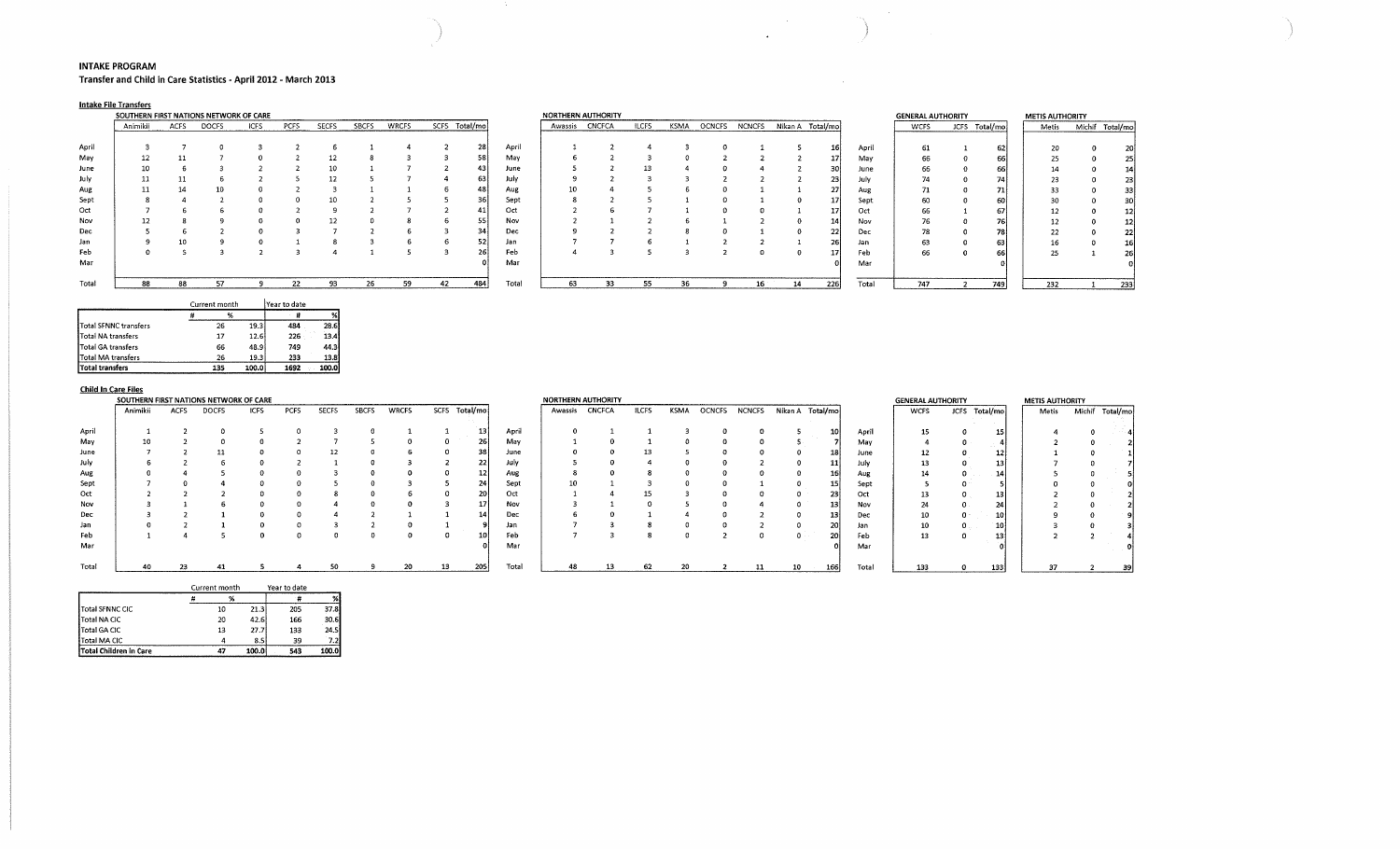#### **INTAKE PROGRAM**

**Transfer and Child in Care Statistics - April 2012 - March 2013** 

### **Intake File Transfers**

|       | SOUTHERN FIRST NATIONS NETWORK OF CARE |             |              |             |      |              |              |              |    |               |       | NORTHERN AUTHORITY |               |              |      |        |               |    |                  |       | <b>GENERAL AUTHORITY</b> |             |
|-------|----------------------------------------|-------------|--------------|-------------|------|--------------|--------------|--------------|----|---------------|-------|--------------------|---------------|--------------|------|--------|---------------|----|------------------|-------|--------------------------|-------------|
|       | Animikii                               | <b>ACFS</b> | <b>DOCFS</b> | <b>ICFS</b> | PCFS | <b>SECFS</b> | <b>SBCFS</b> | <b>WRCFS</b> |    | SCFS Total/mo |       | Awassis            | <b>CNCFCA</b> | <b>ILCFS</b> | KSMA | OCNCFS | <b>NCNCFS</b> |    | Nikan A Total/mo |       | <b>WCFS</b>              | <b>JCFS</b> |
|       |                                        |             |              |             |      |              |              |              |    |               |       |                    |               |              |      |        |               |    |                  |       |                          |             |
| April |                                        |             |              |             |      |              |              |              |    | 28            | April |                    |               |              |      |        |               |    | Τo               | April |                          |             |
| May   |                                        | 11          |              |             |      | 12           |              |              |    | 58            | May   |                    |               |              |      |        |               |    | $\mathbf{I}$     | May   | 66                       |             |
| June  | 10                                     |             |              |             |      |              |              |              |    | 43            | June  |                    |               | 13           |      |        |               |    | 30               | June  |                          |             |
| July  |                                        | 11          |              |             |      |              |              |              |    | 63            | July  |                    |               |              |      |        |               |    | 23               | July  |                          |             |
| Aug   |                                        | 14          | 10           |             |      |              |              |              |    | 48            | Aug   | 10                 |               |              |      |        |               |    | 27               | Aug   |                          |             |
| Sept  |                                        |             |              |             |      |              |              |              |    | 36            | Sept  |                    |               |              |      |        |               |    | $17^{\circ}$     | Sept  | 60                       |             |
| Oct   |                                        |             |              |             |      |              |              |              |    | 41            | Oct   |                    |               |              |      |        |               |    | 17               | Oct   | 66                       |             |
| Nov   |                                        |             |              |             |      | 12           |              |              |    | 55            | Nov   |                    |               |              |      |        |               |    | 14               | Nov   | 76                       |             |
| Dec   |                                        |             |              |             |      |              |              |              |    | 34            | Dec   |                    |               |              |      |        |               |    | 22               | Dec   | 78                       |             |
| Jan   |                                        | 10          |              |             |      |              |              |              | b  | 52            | Jan   |                    |               |              |      |        |               |    | 26               | Jan   | 63                       |             |
| Feb   |                                        |             |              |             |      |              |              |              |    | 26            | Feb   |                    |               |              |      |        |               |    | 17 <sub>1</sub>  | Feb   | 66                       |             |
| Mar   |                                        |             |              |             |      |              |              |              |    |               | Mar   |                    |               |              |      |        |               |    |                  | Mar   |                          |             |
| Total | 88                                     | 88          | 57           |             | 22   | 93           | 26           | 59           | 42 | 484           | Total | 63                 | 33            | 55           | 36   |        | 16            | 14 | 226              | Total | 747                      |             |

|       | SOUTHERN FIRST NATIONS NETWORK OF CARE |             |              |             |      |              |              |              |    |               |       | NORTHERN AUTHORITY |               |              |             |               |                 |                  |     |       | <b>GENERAL AUTHORITY</b> |             |           | <b>METIS AUTHORITY</b> |                 |
|-------|----------------------------------------|-------------|--------------|-------------|------|--------------|--------------|--------------|----|---------------|-------|--------------------|---------------|--------------|-------------|---------------|-----------------|------------------|-----|-------|--------------------------|-------------|-----------|------------------------|-----------------|
|       | Animikii                               | <b>ACFS</b> | <b>DOCFS</b> | <b>ICFS</b> | PCFS | <b>SECFS</b> | <b>SBCFS</b> | <b>WRCFS</b> |    | SCFS Total/mo |       | Awassis            | <b>CNCFCA</b> | <b>ILCFS</b> | <b>KSMA</b> | <b>OCNCFS</b> | <b>NCNCFS</b>   | Nikan A Total/mo |     |       | <b>WCFS</b>              | <b>JCFS</b> | Total/mo  | Metis                  | Michif Total/mo |
|       |                                        |             |              |             |      |              |              |              |    |               |       |                    |               |              |             |               |                 |                  |     |       |                          |             |           |                        |                 |
| April |                                        |             |              |             |      |              |              |              |    | 28            | April |                    |               |              |             |               |                 |                  |     | April | 61                       |             | 62)       |                        |                 |
| May   | 12                                     |             |              |             |      |              |              |              |    | 58            | May   |                    |               |              |             |               |                 |                  |     | May   | 66                       |             | 66        |                        |                 |
| June  | 10                                     |             |              |             |      |              |              |              |    |               | June  |                    |               | 13           |             |               |                 |                  |     | June  | 66                       |             | 66        |                        |                 |
| July  | 11                                     |             |              |             |      |              |              |              |    | 63            | July  |                    |               |              |             |               |                 |                  |     | July  |                          |             | <b>74</b> | つつ                     |                 |
| Aug   |                                        |             |              |             |      |              |              |              |    |               | Aug   | 10                 |               |              |             |               |                 |                  |     | Aug   |                          |             | 71        |                        | 33              |
| Sept  |                                        |             |              |             |      |              |              |              |    | 36            | Sept  |                    |               |              |             |               |                 |                  |     | Sept  | 60                       |             | 60        |                        | 30              |
| Oct   |                                        |             |              |             |      |              |              |              |    | 411           | Oct   |                    |               |              |             |               |                 |                  |     | Oct   | 66                       |             | 67        |                        |                 |
| Nov   | 12                                     |             |              |             |      |              |              |              |    | 55            | Nov   |                    |               |              |             |               |                 |                  |     | Nov   | 76                       |             | 76I       | າາ                     |                 |
| Dec   |                                        |             |              |             |      |              |              |              |    | 34            | Dec   |                    |               |              |             |               |                 |                  |     | Dec   | 78                       |             | 78        | 22                     |                 |
| Jan   |                                        |             |              |             |      |              |              |              |    | 52.           | Jan   |                    |               |              |             |               |                 |                  |     | Jan   | 63                       |             | 63        |                        |                 |
| Feb   |                                        |             |              |             |      |              |              |              |    |               | Feb   |                    |               |              |             |               |                 |                  |     | Feb   | 66                       |             | 66        | 25                     | 26              |
| Mar   |                                        |             |              |             |      |              |              |              |    |               | Mar   |                    |               |              |             |               |                 |                  |     | Mar   |                          |             |           |                        |                 |
| Total | 88                                     | 88          |              |             | 22   | 93           | 26           | 59           | 42 | 484           | Total | 63                 | 33            | 55           | 36          |               | 16 <sup>1</sup> |                  | 226 | Total | 747                      |             | 749       | 232                    | 233             |

 $\sim$   $\sim$ 

 $\begin{pmatrix} 1 & 1 \\ 1 & 1 \end{pmatrix}$ 

 $\sim 10^{11}$  km  $^{-1}$ 

|                           | Current month |       | l Year to date |       |
|---------------------------|---------------|-------|----------------|-------|
|                           | %             |       |                | %     |
| Total SFNNC transfers     | 26            | 19.3  | 484            | 28.6  |
| Total NA transfers        | 17            | 12.6  | 226            | 13.4  |
| Total GA transfers        | 66            | 48.9  | 749            | 44.3  |
| <b>Total MA transfers</b> | 26            | 19.3  | 233            | 13.8  |
| Total transfers           | 135           | 100.0 | 1692           | 100.0 |

# **Child In Care Files**

|                   | SOUTHERN FIRST NATIONS NETWORK OF CARE |        |                      |                                            |      |              |              |              |               |     |                                            |         | <b>NORTHERN AUTHORITY</b> |              |        |               |                      |                  |                  |       | <b>GENERAL AUTHORITY</b> |             |              | <b>METIS AUTHORITY</b> |        |          |
|-------------------|----------------------------------------|--------|----------------------|--------------------------------------------|------|--------------|--------------|--------------|---------------|-----|--------------------------------------------|---------|---------------------------|--------------|--------|---------------|----------------------|------------------|------------------|-------|--------------------------|-------------|--------------|------------------------|--------|----------|
|                   | Animikii                               | ACFS   | <b>DOCFS</b>         | <b>ICFS</b>                                | PCFS | <b>SECFS</b> | <b>SBCFS</b> | <b>WRCFS</b> | SCFS Total/mo |     |                                            | Awassis | <b>CNCFCA</b>             | <b>ILCFS</b> | KSMA   | <b>OCNCFS</b> | <b>NCNCFS</b>        | Nikan A Total/mo |                  |       | <b>WCFS</b>              | <b>JCFS</b> | Total/mo     | Metis                  | Michif | Total/mo |
| April             |                                        |        |                      |                                            |      |              |              |              |               |     | April                                      |         |                           |              |        |               |                      |                  |                  | April | 15.                      |             | 15           |                        |        |          |
| May               |                                        |        |                      |                                            |      |              |              |              |               |     | Mav                                        |         |                           |              |        |               |                      |                  |                  | May   |                          |             |              |                        |        |          |
| June              |                                        |        |                      |                                            |      |              |              |              |               |     | June                                       |         |                           |              |        |               |                      |                  |                  | June  | 12                       |             | $12^{\circ}$ |                        |        |          |
| July              |                                        |        |                      |                                            |      |              |              |              |               |     | July                                       |         |                           |              |        |               |                      |                  |                  | July  | 13                       |             | 13           |                        |        |          |
| Aug               |                                        |        |                      |                                            |      |              |              |              |               |     | Aug                                        |         |                           |              |        |               |                      |                  |                  | Aug   |                          |             | -14          |                        |        |          |
| Sept              |                                        |        |                      |                                            |      |              |              |              |               |     | Sept                                       | 10.     |                           |              |        |               |                      |                  |                  | Sept  |                          |             |              |                        |        |          |
| Oct               |                                        |        |                      |                                            |      |              |              |              |               |     | Oct                                        |         |                           |              |        |               |                      |                  |                  | Oct   |                          |             | -13          |                        |        |          |
| Nov               |                                        |        |                      |                                            |      |              |              |              |               |     | Nov                                        |         |                           |              |        |               |                      |                  |                  | Nov   |                          |             | 24           |                        |        |          |
| Dec               |                                        |        |                      |                                            |      |              |              |              |               |     | Dec                                        |         |                           |              |        |               |                      |                  |                  | Dec   | 10                       |             | 10           |                        |        |          |
| Jan               |                                        |        |                      |                                            |      |              |              |              |               |     | Jan                                        |         |                           |              |        |               |                      |                  |                  | Jan   | 10                       |             | $\sim$<br>τv |                        |        |          |
| Feb               |                                        |        |                      |                                            |      |              |              |              |               |     | Feb                                        |         |                           |              |        |               |                      |                  |                  | Feb   | 13                       |             | 13           |                        |        |          |
| Mar               |                                        |        |                      |                                            |      |              |              |              |               |     | Mar                                        |         |                           |              |        |               |                      |                  |                  | Mar   |                          |             |              |                        |        |          |
| <b>March 1979</b> | $\sim$                                 | $\sim$ | $\sim$ $\sim$ $\sim$ | <b>Contract Contract Contract Contract</b> |      | $\sim$       |              | $\sim$       | $\sim$        | 222 | <b>Contract Contract Contract Contract</b> | $\sim$  | $\sim$                    | $\sim$       | $\sim$ |               | $\sim$ $\sim$ $\sim$ |                  | التسامعة فتستحدث |       | $- - -$                  |             | . 1          |                        |        |          |

|       | Anımıklı | <b>ACFS</b> | <b>DOCFS</b> | בוטו | <b>PCFS</b> | <b>SECFS</b> | <b>PROF</b> | <b>WKCF:</b> | scrs | l otal/mo: |       | Awassis | <b><i>UNUFUA</i></b> | <b>ILCF2</b> | KSMA | <b>OCNCES</b> | <b>NCNCFS</b> | Nikan A | Total/mo |       | <b>WCFS</b> | <b>JCFS</b> | Total/mo        | Metis | Michit | Total/moj |
|-------|----------|-------------|--------------|------|-------------|--------------|-------------|--------------|------|------------|-------|---------|----------------------|--------------|------|---------------|---------------|---------|----------|-------|-------------|-------------|-----------------|-------|--------|-----------|
|       |          |             |              |      |             |              |             |              |      |            |       |         |                      |              |      |               |               |         |          |       |             |             |                 |       |        |           |
| April |          |             |              |      |             |              |             |              |      |            | April |         |                      |              |      |               |               |         |          | April | 15          |             | 15              |       |        |           |
| May   | 10       |             |              |      |             |              |             |              |      | 26         | May   |         |                      |              |      |               |               |         |          | May   |             |             |                 |       |        |           |
| June  |          |             |              |      |             |              |             |              |      |            | June  |         |                      |              |      |               |               |         |          | June  | 12          |             | 121             |       |        |           |
| July  |          |             |              |      |             |              |             |              |      | 22         | July  |         |                      |              |      |               |               |         |          | July  | 13          |             | 13              |       |        |           |
| Aug   |          |             |              |      |             |              |             |              |      |            | Aug   |         |                      |              |      |               |               |         |          | Aug   | 14          |             | 14              |       |        |           |
| Sept  |          |             |              |      |             |              |             |              |      |            | Sept  |         |                      |              |      |               |               |         |          | Sept  |             |             |                 |       |        |           |
| Oct   |          |             |              |      |             |              |             |              |      |            | Oct   |         |                      |              |      |               |               |         |          | Oct   | 13          |             | 13 <sup>1</sup> |       |        |           |
| Nov   |          |             |              |      |             |              |             |              |      |            | Nov   |         |                      |              |      |               |               |         |          | Nov   | 24          |             | 24              |       |        |           |
| Dec   |          |             |              |      |             |              |             |              |      |            | Dec   |         |                      |              |      |               |               |         |          | Dec   | 10          |             | 10              |       |        |           |
| Jan   |          |             |              |      |             |              |             |              |      |            | Jan   |         |                      |              |      |               |               |         |          | Jan   | 10          |             | 10              |       |        |           |
| Feb   |          |             |              |      |             |              |             |              |      |            | Feb   |         |                      |              |      |               |               |         | 20       | Feb   | 13          |             | 13              |       |        |           |
| Mar   |          |             |              |      |             |              |             |              |      |            | Mar   |         |                      |              |      |               |               |         |          | Mar   |             |             |                 |       |        |           |
|       |          |             |              |      |             |              |             |              |      |            |       |         |                      |              |      |               |               |         |          |       |             |             |                 |       |        |           |
| Total | 40       |             |              |      |             |              |             | 20           | 13   | 205        | Total |         |                      | 62           |      |               | 11            |         | 166      | Total | 133         |             | 133             |       |        |           |

| 15 | Ω   | 15       |                | ሰ | t<br>à. |  |
|----|-----|----------|----------------|---|---------|--|
| 4  | o   | 4<br>a d |                | 0 |         |  |
| 12 |     | 12       |                | O |         |  |
| 13 |     | 13       |                | O |         |  |
| 14 | Ω   | 14       |                | o | ς       |  |
| 5  | n   | 5        | 0              | 0 |         |  |
| 13 | 0   | 13       | $\overline{2}$ | o |         |  |
| 24 |     | 24       | $\overline{2}$ | Λ | c       |  |
| 10 | ∩ ∘ | 10       | q              |   | 9       |  |
| 10 | 0   | 10       | 3              | o | з       |  |
| 13 | n   | 13<br>÷. | 2              | 2 |         |  |
|    |     | $\alpha$ |                |   | 0       |  |
|    |     |          |                |   |         |  |

|                               | Current month |       | Year to date |       |
|-------------------------------|---------------|-------|--------------|-------|
|                               | ℁             |       |              | %     |
| <b>Total SFNNC CIC</b>        | 10            | 21.3  | 205          | 37.8  |
| Total NA CIC                  | 20            | 42.6  | 166          | 30.6  |
| Total GA CIC                  | 13            | 27.7  | 133          | 24.5  |
| Total MA CIC                  |               | 8.5   | 39           | 7.2   |
| <b>Total Children in Care</b> | 47            | 100.0 | 543          | 100.0 |